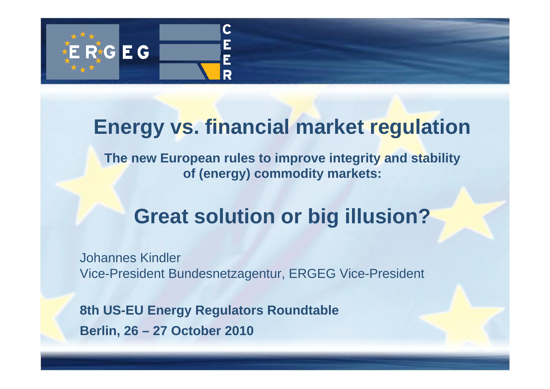

## **Energy vs. financial market regulation**

**The new European rules to improve integrity and stability of (energy) commodity markets:** 

# **Great solution or big illusion?**

Johannes Kindler Vice-President Bundesnetzagentur, ERGEG Vice-President

**8th US-EU Energy Regulators Roundtable Berlin, 26 – 27 October 2010**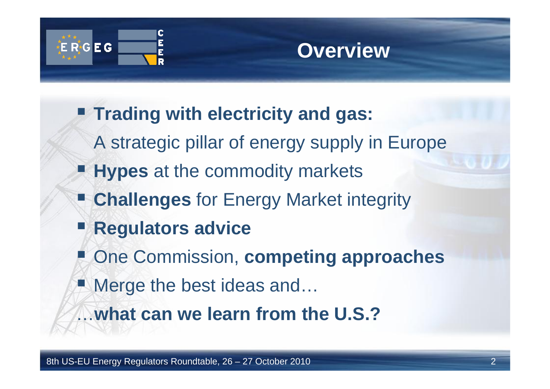

## **Overview**

- **Trading with electricity and gas:**
	- A strategic pillar of energy supply in Europe
- **Hypes** at the commodity markets
- **Challenges** for Energy Market integrity
- T **Regulators advice**
- **E** One Commission, **competing approaches**
- Merge the best ideas and...
- …**what can we learn from the U.S.?**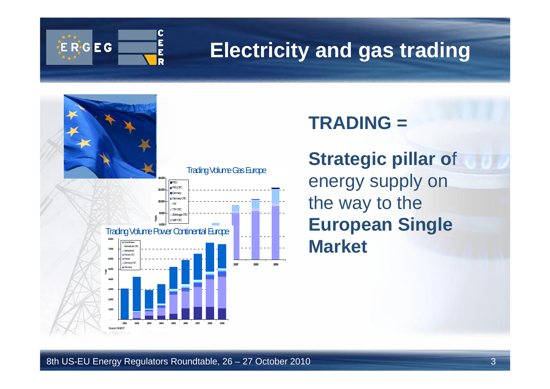

## **Electricity and gas trading**



## **TRADING =**

**Strategic pillar o**f energy supply on the way to the **European Single Market**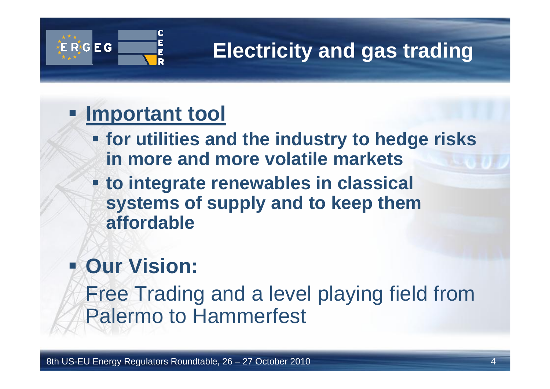

# **Electricity and gas trading**

## **Important tool**

- **for utilities and the industry to hedge risks in more and more volatile markets**
- **to integrate renewables in classical systems of supply and to keep them affordable**

# **Dur Vision:**

Free Trading and a level playing field from Palermo to Hammerfest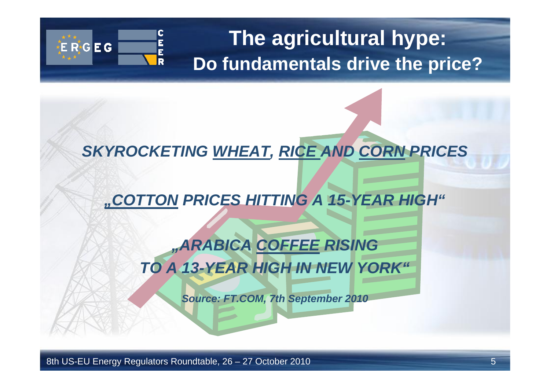

## **The agricultural hype: Do fundamentals drive the price?**

### *SKYROCKETING WHEAT, RICE AND CORN PRICES*

### *"COTTON PRICES HITTING A 15-YEAR HIGH"*

## *"ARABICA COFFEE RISING TO A 13-YEAR HIGH IN NEW YORK"*

*Source: FT.COM, 7th September 2010*

8th US-EU Energy Regulators Roundtable, 26 – 27 October 2010 5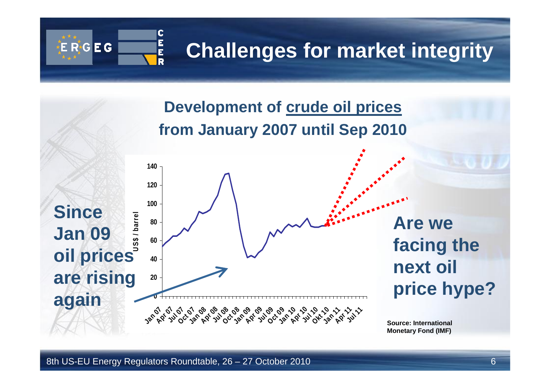

**Development of crude oil prices from January 2007 until Sep 2010**

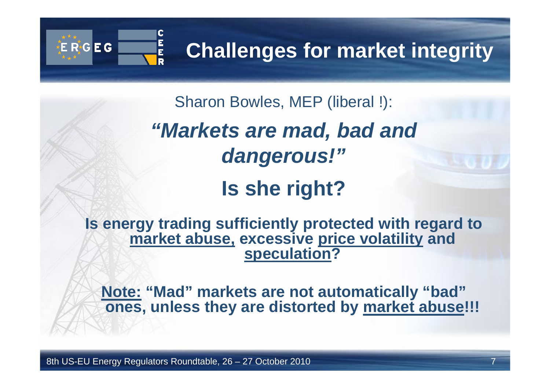# **Challenges for market integrity**

Sharon Bowles, MEP (liberal !):

*"Markets are mad, bad and dangerous!"*

## **Is she right?**

**Is energy trading sufficiently protected with regard to market abuse, excessive price volatility and speculation?**

**Note: "Mad" markets are not automatically "bad" ones, unless they are distorted by market abuse!!!**

8th US-EU Energy Regulators Roundtable, 26 – 27 October 2010 7

E<br>E

E R<sub>6</sub>G E G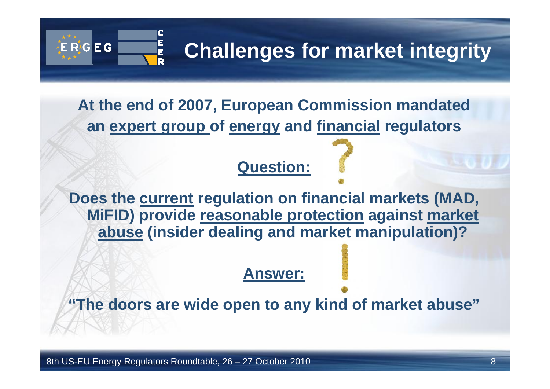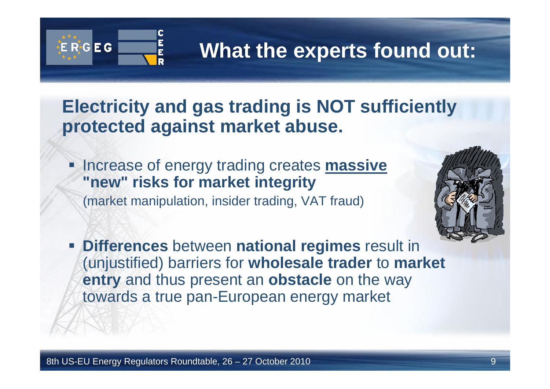

## **What the experts found out:**

## **Electricity and gas trading is NOT sufficiently protected against market abuse.**

Τ Increase of energy trading creates **massive "new" risks for market integrity** (market manipulation, insider trading, VAT fraud)



 **Differences** between **national regimes** result in (unjustified) barriers for **wholesale trader** to **market entry** and thus present an **obstacle** on the way towards a true pan-European energy market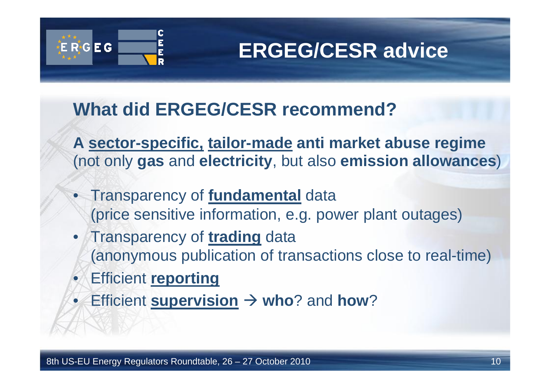

## **ERGEG/CESR advice**

## **What did ERGEG/CESR recommend?**

**A sector-specific, tailor-made anti market abuse regime** (not only **gas** and **electricity**, but also **emission allowances**)

- Transparency of **fundamental** data (price sensitive information, e.g. power plant outages)
- • Transparency of **trading** data (anonymous publication of transactions close to real-time)
- $\bullet$ Efficient **reporting**
- •Efficient **supervision**  $\rightarrow$  who? and how?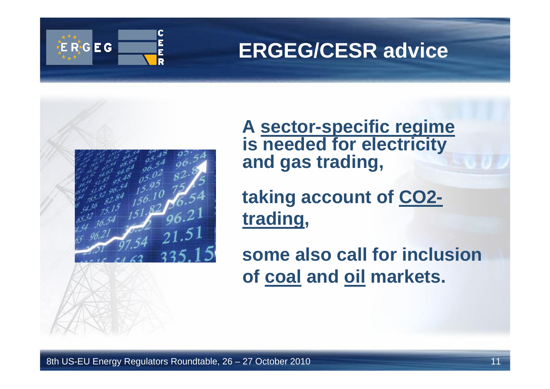

## **ERGEG/CESR advice**



**A sector-specific regime is needed for electricity and gas trading,** 

**taking account of CO2 trading,** 

**some also call for inclusionof coal and oil markets.**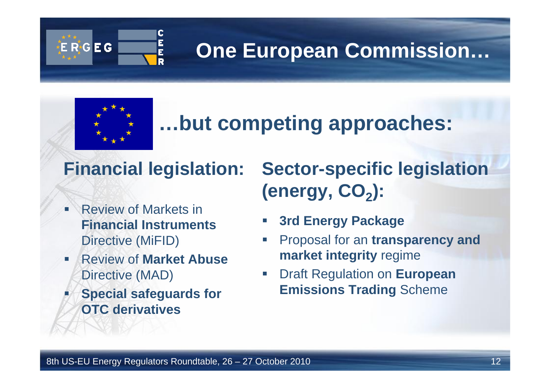

# **One European Commission…**



г

## **…but competing approaches:**

## **Financial legislation:**

- n Review of Markets in **Financial Instruments**Directive (MiFID)
- F Review of **Market Abuse**Directive (MAD)
- **Special safeguards for OTC derivatives**

## **Sector-specific legislation**  (energy, CO<sub>2</sub>):

- $\mathcal{C}^{\mathcal{A}}$ **3rd Energy Package**
- $\Box$  Proposal for an **transparency and market integrity** regime
- $\overline{\mathbb{R}^2}$  Draft Regulation on **European Emissions Trading** Scheme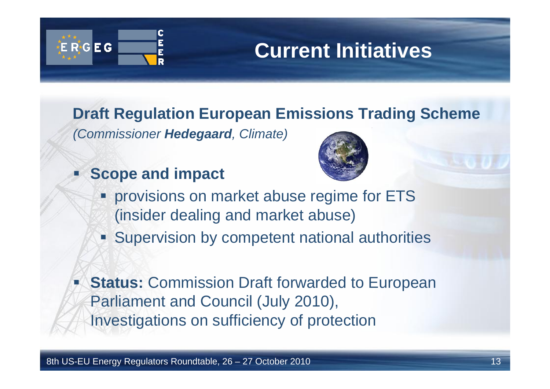

### **Draft Regulation European Emissions Trading Scheme**

*(Commissioner Hedegaard, Climate)*

Τ **Scope and impact**



- **Provisions on market abuse regime for ETS** (insider dealing and market abuse)
- **Supervision by competent national authorities**
- **Status: Commission Draft forwarded to European** Parliament and Council (July 2010), Investigations on sufficiency of protection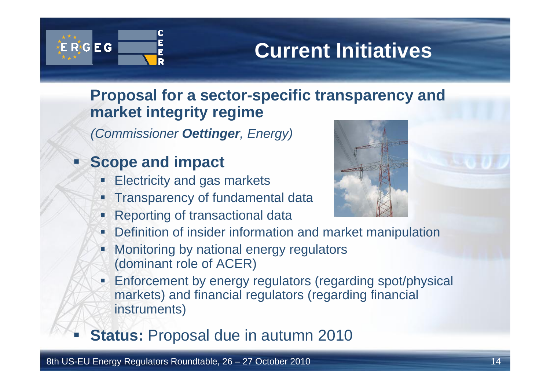

Ξ

## **Current Initiatives**

#### **Proposal for a sector-specific transparency and market integrity regime**

*(Commissioner Oettinger, Energy)*

#### Ξ **Scope and impact**

- **Electricity and gas markets**
- П Transparency of fundamental data
- P. **Reporting of transactional data**



- Г Definition of insider information and market manipulation
- $\mathbf{r}$  Monitoring by national energy regulators (dominant role of ACER)
- **Enforcement by energy regulators (regarding spot/physical** markets) and financial regulators (regarding financial instruments)
- **Status:** Proposal due in autumn 2010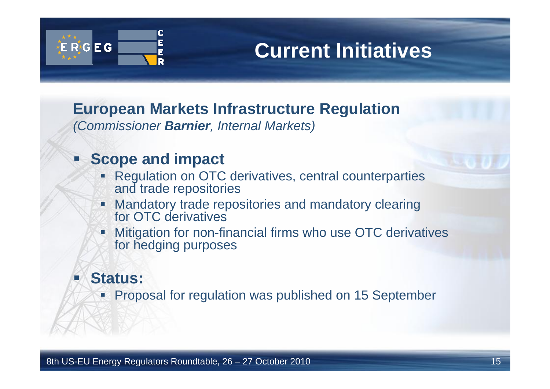

**European Markets Infrastructure Regulation** *(Commissioner Barnier, Internal Markets)*

#### Ξ **Scope and impact**

- Ŧ Regulation on OTC derivatives, central counterparties and trade repositories
- Ξ Mandatory trade repositories and mandatory clearing for OTC derivatives
- **Nitigation for non-financial firms who use OTC derivatives** for hedging purposes

#### Τ **Status:**

**Proposal for regulation was published on 15 September**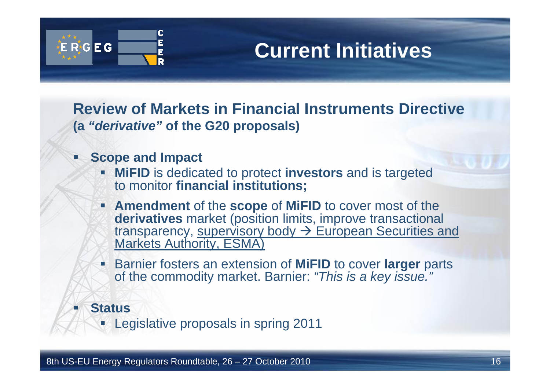

**Review of Markets in Financial Instruments Directive(a** *"derivative"* **of the G20 proposals)**

- Ξ **Scope and Impact**
	- **MiFID** is dedicated to protect **investors** and is targeted to monitor **financial institutions;**
	- **Amendment** of the **scope** of **MiFID** to cover most of the **derivatives** market (position limits, improve transactional transparency, supervisory body  $\rightarrow$  European Securities and Markets Authority, ESMA)
	- Barnier fosters an extension of **MiFID** to cover **larger** parts of the commodity market. Barnier: *"This is a key issue."*

**Status**

Τ

**Legislative proposals in spring 2011**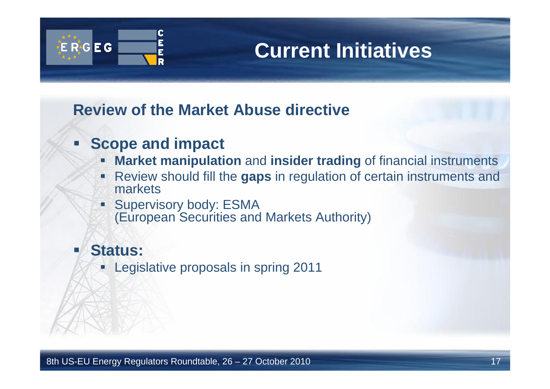

#### **Review of the Market Abuse directive**

#### **Scope and impact**

- Ξ **Market manipulation** and **insider trading** of financial instruments
- Review should fill the **gaps** in regulation of certain instruments and markets
- e. Supervisory body: ESMA (European Securities and Markets Authority)

#### T. **Status:**

**Legislative proposals in spring 2011**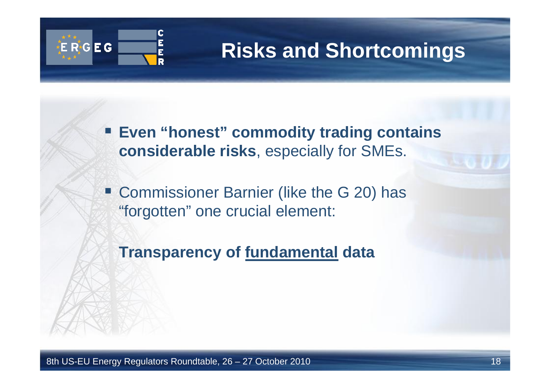

## **Risks and Shortcomings**

 **Even "honest" commodity trading contains considerable risks**, especially for SMEs.

**Example 20 Fearrier Clike the G 20) has** "forgotten" one crucial element:

**Transparency of fundamental data**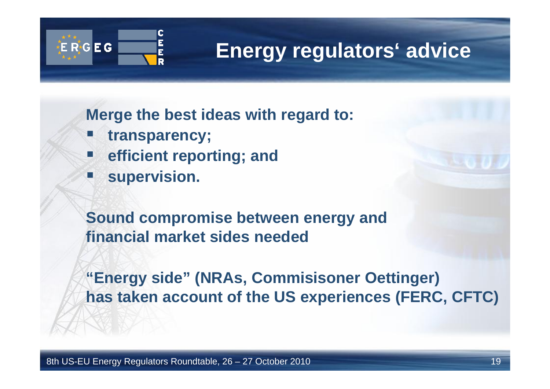

## **Energy regulators' advice**

**Merge the best ideas with regard to:**

- **transparency;**
- **efficient reporting; and**
- Ξ **supervision.**

**Sound compromise between energy and financial market sides needed**

**"Energy side" (NRAs, Commisisoner Oettinger) has taken account of the US experiences (FERC, CFTC)**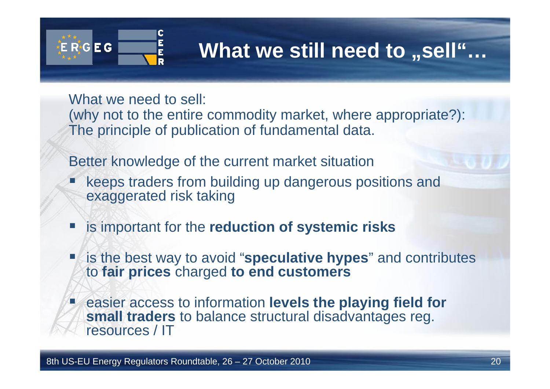

# **What** we still need to "sell"…

What we need to sell:

(why not to the entire commodity market, where appropriate?): The principle of publication of fundamental data.

Better knowledge of the current market situation

- Τ keeps traders from building up dangerous positions and exaggerated risk taking
- is important for the **reduction of systemic risks**
- er<br>19 is the best way to avoid "**speculative hypes**" and contributes to **fair prices** charged **to end customers**
- **E** easier access to information **levels the playing field for small traders** to balance structural disadvantages reg. resources / IT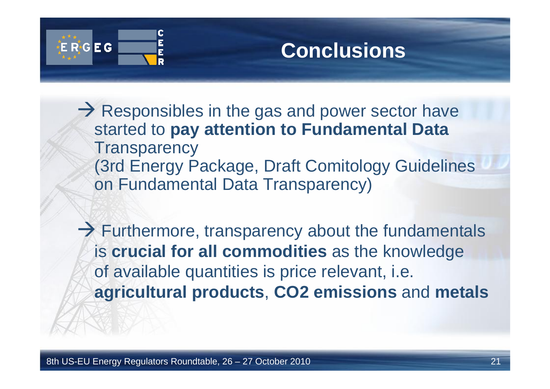

## **Conclusions**

 $\rightarrow$  Responsibles in the gas and power sector have started to **pay attention to Fundamental Data Transparency** (3rd Energy Package, Draft Comitology Guidelines on Fundamental Data Transparency)

 $\rightarrow$  Furthermore, transparency about the fundamentals is **crucial for all commodities** as the knowledge of available quantities is price relevant, i.e. **agricultural products**, **CO2 emissions** and **metals**